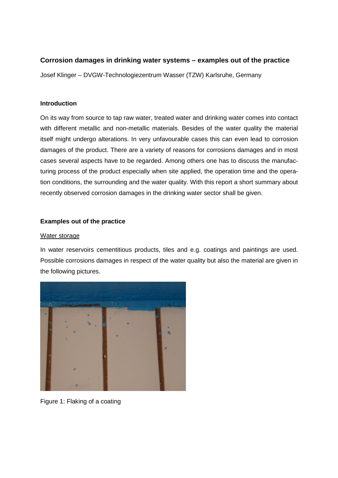## **Corrosion damages in drinking water systems – examples out of the practice**

Josef Klinger – DVGW-Technologiezentrum Wasser (TZW) Karlsruhe, Germany

#### **Introduction**

On its way from source to tap raw water, treated water and drinking water comes into contact with different metallic and non-metallic materials. Besides of the water quality the material itself might undergo alterations. In very unfavourable cases this can even lead to corrosion damages of the product. There are a variety of reasons for corrosions damages and in most cases several aspects have to be regarded. Among others one has to discuss the manufacturing process of the product especially when site applied, the operation time and the operation conditions, the surrounding and the water quality. With this report a short summary about recently observed corrosion damages in the drinking water sector shall be given.

### **Examples out of the practice**

#### Water storage

In water reservoirs cementitious products, tiles and e.g. coatings and paintings are used. Possible corrosions damages in respect of the water quality but also the material are given in the following pictures.



Figure 1: Flaking of a coating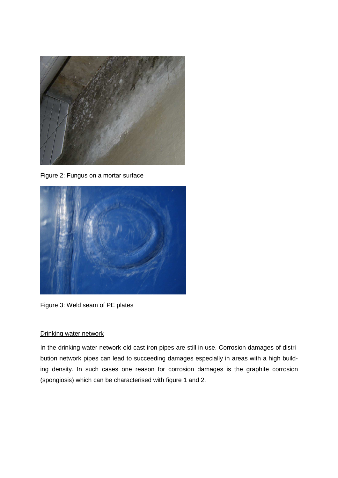

Figure 2: Fungus on a mortar surface



Figure 3: Weld seam of PE plates

## Drinking water network

In the drinking water network old cast iron pipes are still in use. Corrosion damages of distribution network pipes can lead to succeeding damages especially in areas with a high building density. In such cases one reason for corrosion damages is the graphite corrosion (spongiosis) which can be characterised with figure 1 and 2.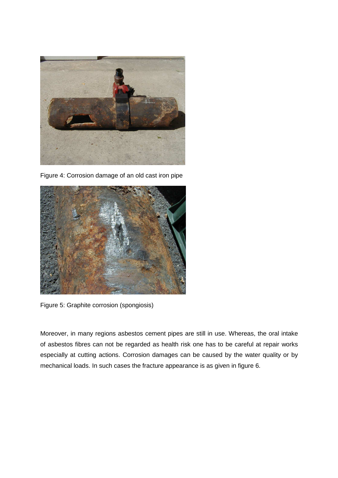

Figure 4: Corrosion damage of an old cast iron pipe



Figure 5: Graphite corrosion (spongiosis)

Moreover, in many regions asbestos cement pipes are still in use. Whereas, the oral intake of asbestos fibres can not be regarded as health risk one has to be careful at repair works especially at cutting actions. Corrosion damages can be caused by the water quality or by mechanical loads. In such cases the fracture appearance is as given in figure 6.